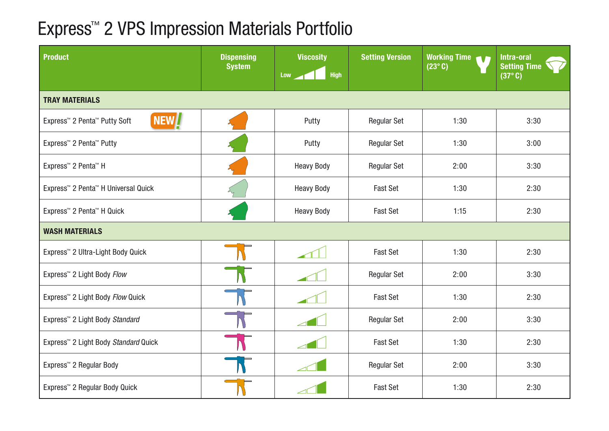## Express™ 2 VPS Impression Materials Portfolio

| <b>Product</b>                                                            | <b>Dispensing</b><br><b>System</b> | <b>Viscosity</b><br><b>High</b><br>Low | <b>Setting Version</b> | <b>Working Time</b><br>TΓ<br>$(23^{\circ}C)$ | Intra-oral<br><b>Setting Time</b><br>$(37^\circ C)$ |  |  |
|---------------------------------------------------------------------------|------------------------------------|----------------------------------------|------------------------|----------------------------------------------|-----------------------------------------------------|--|--|
| <b>TRAY MATERIALS</b>                                                     |                                    |                                        |                        |                                              |                                                     |  |  |
| NEW <sup>[/</sup><br>Express <sup>™</sup> 2 Penta <sup>™</sup> Putty Soft |                                    | Putty                                  | Regular Set            | 1:30                                         | 3:30                                                |  |  |
| Express <sup>™</sup> 2 Penta <sup>™</sup> Putty                           |                                    | Putty                                  | <b>Regular Set</b>     | 1:30                                         | 3:00                                                |  |  |
| Express <sup>™</sup> 2 Penta <sup>™</sup> H                               |                                    | <b>Heavy Body</b>                      | <b>Regular Set</b>     | 2:00                                         | 3:30                                                |  |  |
| Express <sup>™</sup> 2 Penta <sup>™</sup> H Universal Quick               |                                    | <b>Heavy Body</b>                      | <b>Fast Set</b>        | 1:30                                         | 2:30                                                |  |  |
| Express <sup>™</sup> 2 Penta <sup>™</sup> H Quick                         |                                    | <b>Heavy Body</b>                      | <b>Fast Set</b>        | 1:15                                         | 2:30                                                |  |  |
| <b>WASH MATERIALS</b>                                                     |                                    |                                        |                        |                                              |                                                     |  |  |
| Express <sup>™</sup> 2 Ultra-Light Body Quick                             |                                    |                                        | <b>Fast Set</b>        | 1:30                                         | 2:30                                                |  |  |
| Express <sup>™</sup> 2 Light Body Flow                                    |                                    |                                        | <b>Regular Set</b>     | 2:00                                         | 3:30                                                |  |  |
| Express <sup>™</sup> 2 Light Body Flow Quick                              |                                    |                                        | <b>Fast Set</b>        | 1:30                                         | 2:30                                                |  |  |
| Express <sup>™</sup> 2 Light Body Standard                                |                                    |                                        | <b>Regular Set</b>     | 2:00                                         | 3:30                                                |  |  |
| Express <sup>™</sup> 2 Light Body Standard Quick                          |                                    |                                        | <b>Fast Set</b>        | 1:30                                         | 2:30                                                |  |  |
| Express <sup>™</sup> 2 Regular Body                                       |                                    |                                        | <b>Regular Set</b>     | 2:00                                         | 3:30                                                |  |  |
| Express <sup>™</sup> 2 Regular Body Quick                                 |                                    |                                        | <b>Fast Set</b>        | 1:30                                         | 2:30                                                |  |  |